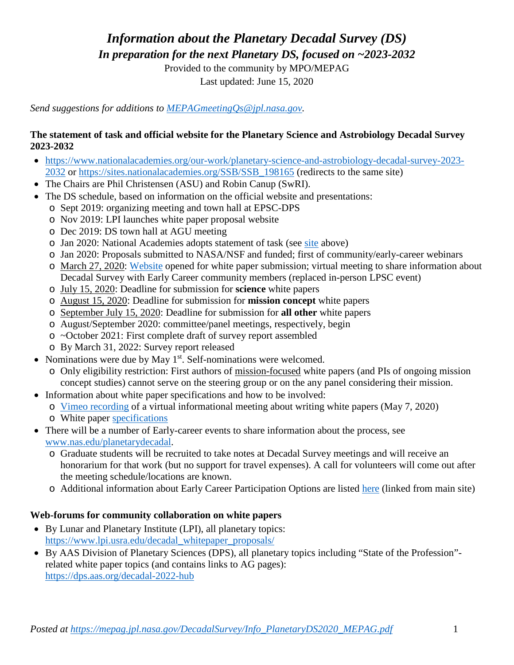*Information about the Planetary Decadal Survey (DS)*

*In preparation for the next Planetary DS, focused on ~2023-2032*

Provided to the community by MPO/MEPAG Last updated: June 15, 2020

*Send suggestions for additions to [MEPAGmeetingQs@jpl.nasa.gov.](mailto:MEPAGmeetingQs@jpl.nasa.gov)*

#### **The statement of task and official website for the Planetary Science and Astrobiology Decadal Survey 2023-2032**

- [https://www.nationalacademies.org/our-work/planetary-science-and-astrobiology-decadal-survey-2023-](https://www.nationalacademies.org/our-work/planetary-science-and-astrobiology-decadal-survey-2023-2032) [2032](https://www.nationalacademies.org/our-work/planetary-science-and-astrobiology-decadal-survey-2023-2032) or [https://sites.nationalacademies.org/SSB/SSB\\_198165](https://sites.nationalacademies.org/SSB/SSB_198165) (redirects to the same site)
- The Chairs are Phil Christensen (ASU) and Robin Canup (SwRI).
- The DS schedule, based on information on the official website and presentations:
	- o Sept 2019: organizing meeting and town hall at EPSC-DPS
	- o Nov 2019: LPI launches white paper proposal website
	- o Dec 2019: DS town hall at AGU meeting
	- o Jan 2020: National Academies adopts statement of task (see site above)
	- o Jan 2020: Proposals submitted to NASA/NSF and funded; first of community/early-career webinars
	- o March 27, 2020: [Website](https://www.surveygizmo.com/s3/5489366/Call-to-the-Planetary-Science-Decadal-Community-White-Papers-1) opened for white paper submission; virtual meeting to share information about Decadal Survey with Early Career community members (replaced in-person LPSC event)
	- o July 15, 2020: Deadline for submission for **science** white papers
	- o August 15, 2020: Deadline for submission for **mission concept** white papers
	- o September July 15, 2020: Deadline for submission for **all other** white papers
	- o August/September 2020: committee/panel meetings, respectively, begin
	- o ~October 2021: First complete draft of survey report assembled
	- o By March 31, 2022: Survey report released
- Nominations were due by May  $1<sup>st</sup>$ . Self-nominations were welcomed.
	- o Only eligibility restriction: First authors of mission-focused white papers (and PIs of ongoing mission concept studies) cannot serve on the steering group or on the any panel considering their mission.
- Information about white paper specifications and how to be involved:
	- o [Vimeo recording](https://vimeo.com/418576172) of a virtual informational meeting about writing white papers (May 7, 2020)
	- o White paper [specifications](https://www.nationalacademies.org/_cache_80ac/content/4885770000227181.pdf)
- There will be a number of Early-career events to share information about the process, see [www.nas.edu/planetarydecadal.](http://www.nas.edu/planetarydecadal)
	- o Graduate students will be recruited to take notes at Decadal Survey meetings and will receive an honorarium for that work (but no support for travel expenses). A call for volunteers will come out after the meeting schedule/locations are known.
	- o Additional information about Early Career Participation Options are listed [here](https://www.nationalacademies.org/_cache_39e7/content/4885770000246052.pdf) (linked from main site)

# **Web-forums for community collaboration on white papers**

- By Lunar and Planetary Institute (LPI), all planetary topics: [https://www.lpi.usra.edu/decadal\\_whitepaper\\_proposals/](https://www.lpi.usra.edu/decadal_whitepaper_proposals/)
- By AAS Division of Planetary Sciences (DPS), all planetary topics including "State of the Profession" related white paper topics (and contains links to AG pages): <https://dps.aas.org/decadal-2022-hub>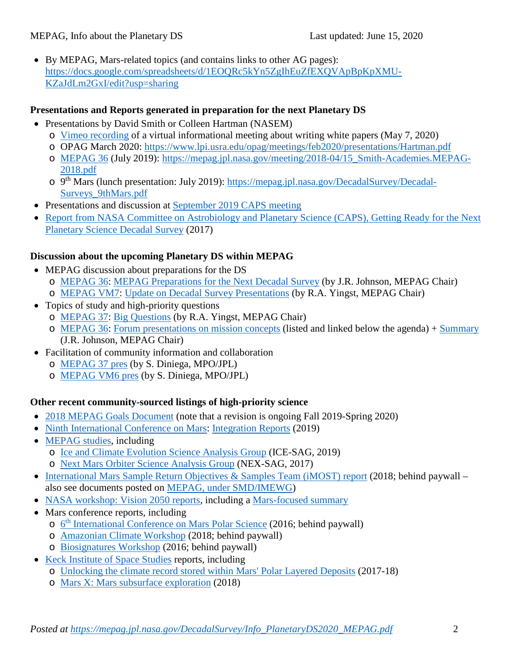• By MEPAG, Mars-related topics (and contains links to other AG pages): [https://docs.google.com/spreadsheets/d/1EOQRc5kYn5ZgIhEuZfEXQVApBpKpXMU-](https://docs.google.com/spreadsheets/d/1EOQRc5kYn5ZgIhEuZfEXQVApBpKpXMU-KZaJdLm2GxI/edit?usp=sharing)[KZaJdLm2GxI/edit?usp=sharing](https://docs.google.com/spreadsheets/d/1EOQRc5kYn5ZgIhEuZfEXQVApBpKpXMU-KZaJdLm2GxI/edit?usp=sharing)

### **Presentations and Reports generated in preparation for the next Planetary DS**

- Presentations by David Smith or Colleen Hartman (NASEM)
	- o [Vimeo recording](https://vimeo.com/418576172) of a virtual informational meeting about writing white papers (May 7, 2020)
	- o OPAG March 2020:<https://www.lpi.usra.edu/opag/meetings/feb2020/presentations/Hartman.pdf>
	- o [MEPAG 36](https://mepag.jpl.nasa.gov/meetings.cfm?expand=m36) (July 2019): [https://mepag.jpl.nasa.gov/meeting/2018-04/15\\_Smith-Academies.MEPAG-](https://mepag.jpl.nasa.gov/meeting/2018-04/15_Smith-Academies.MEPAG-2018.pdf)[2018.pdf](https://mepag.jpl.nasa.gov/meeting/2018-04/15_Smith-Academies.MEPAG-2018.pdf)
	- o 9th Mars (lunch presentation: July 2019): [https://mepag.jpl.nasa.gov/DecadalSurvey/Decadal-](https://mepag.jpl.nasa.gov/DecadalSurvey/Decadal-Surveys_9thMars.pdf)[Surveys\\_9thMars.pdf](https://mepag.jpl.nasa.gov/DecadalSurvey/Decadal-Surveys_9thMars.pdf)
- Presentations and discussion at [September 2019 CAPS meeting](https://www8.nationalacademies.org/pa/projectview.aspx?key=49864#MeetingId11320)
- Report from NASA Committee on Astrobiology and Planetary Science (CAPS), Getting Ready for the Next [Planetary Science Decadal Survey](https://www.nap.edu/catalog/24843/report-series-committee-on-astrobiology-and-planetary-science-getting-ready) (2017)

# **Discussion about the upcoming Planetary DS within MEPAG**

- MEPAG discussion about preparations for the DS
	- o [MEPAG 36:](https://mepag.jpl.nasa.gov/meetings.cfm?expand=m36) [MEPAG Preparations for the Next Decadal Survey](https://mepag.jpl.nasa.gov/meeting/2018-04/18_Johnson_Decadal_Preparations_MEPAG36_v01updated.pdf) (by J.R. Johnson, MEPAG Chair)
	- o [MEPAG VM7:](https://mepag.jpl.nasa.gov/meetings.cfm?expand=vm7) [Update on Decadal Survey Presentations](https://mepag.jpl.nasa.gov/meeting/2019-11/01_02_Yingst_August_MEPAG_VM7_v1.pdf) (by R.A. Yingst, MEPAG Chair)
- Topics of study and high-priority questions
	- o [MEPAG 37:](https://mepag.jpl.nasa.gov/meetings.cfm?expand=m37) [Big Questions](https://mepag.jpl.nasa.gov/meeting/2019-07/MEPAG%20submitted%20Big%20Questions%202019.pdf) (by R.A. Yingst, MEPAG Chair)
	- o [MEPAG 36:](https://mepag.jpl.nasa.gov/meetings.cfm?expand=m36) [Forum presentations on mission concepts](https://mepag.jpl.nasa.gov/meeting/2018-04/43_FINAL_Johnson_MEPAG36_v06_postmeeting.pdf) (listed and linked below the agenda) + [Summary](https://mepag.jpl.nasa.gov/meeting/2018-04/43_FINAL_Johnson_MEPAG36_v06_postmeeting.pdf) (J.R. Johnson, MEPAG Chair)
- Facilitation of community information and collaboration
	- o [MEPAG 37 pres](https://mepag.jpl.nasa.gov/meeting/2019-07/Agenda/12_Diniega_DecadalSurveyPrep_v2.pdf) (by S. Diniega, MPO/JPL)
	- o [MEPAG VM6 pres](https://mepag.jpl.nasa.gov/meeting/2019-08/Agenda/04_Diniega_DecadalSurveyPrep_VM6_v2.pdf) (by S. Diniega, MPO/JPL)

# **Other recent community-sourced listings of high-priority science**

- [2018 MEPAG Goals Document](https://mepag.jpl.nasa.gov/reports.cfm?expand=science) (note that a revision is ongoing Fall 2019-Spring 2020)
- [Ninth International Conference on Mars:](https://www.hou.usra.edu/meetings/ninthmars2019/Presentations/Integration_Report.pdf) [Integration Reports](https://www.hou.usra.edu/meetings/ninthmars2019/Presentations/Integration_Report.pdf) (2019)
- [MEPAG studies,](https://mepag.jpl.nasa.gov/reports.cfm?expand=topical) including
	- o [Ice and Climate Evolution Science Analysis Group](https://mepag.jpl.nasa.gov/reports.cfm?expand=topical) (ICE-SAG, 2019)
	- o [Next Mars Orbiter Science Analysis Group](https://mepag.jpl.nasa.gov/reports/NEX-SAG_draft_v29_FINAL.pdf) (NEX-SAG, 2017)
- [International Mars Sample Return Objectives & Samples Team \(iMOST\) report](https://onlinelibrary.wiley.com/doi/full/10.1111/maps.13242) (2018; behind paywall also see documents posted on [MEPAG, under SMD/IMEWG\)](https://mepag.jpl.nasa.gov/reports.cfm?expand=smd)
- [NASA workshop: Vision 2050 reports,](https://www.lpi.usra.edu/V2050/) including a [Mars-focused summary](https://www.lpi.usra.edu/V2050/target-strategies/mars-strategy.pdf)
- Mars conference reports, including
	- o 6th [International Conference on](https://www.sciencedirect.com/science/article/abs/pii/S0019103517300465) Mars Polar Science (2016; behind paywall)
	- o [Amazonian Climate Workshop](https://doi.org/10.1016/j.pss.2019.104813) (2018; behind paywall)
	- o [Biosignatures Workshop](https://www.liebertpub.com/doi/abs/10.1089/ast.2016.1627) (2016; behind paywall)
- [Keck Institute of Space Studies](http://kiss.caltech.edu/) reports, including
	- o [Unlocking the climate record stored within Mars' Polar Layered Deposits](http://kiss.caltech.edu/programs.html#polar) (2017-18)
	- o [Mars X: Mars subsurface exploration](http://kiss.caltech.edu/programs.html#marsX) (2018)